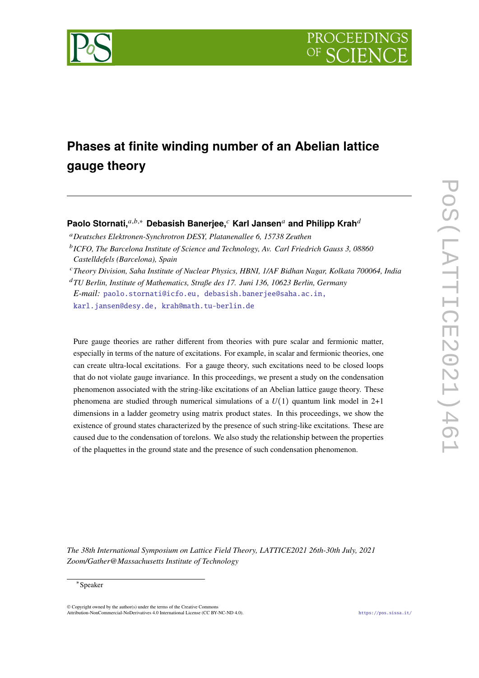

# **Phases at finite winding number of an Abelian lattice gauge theory**

# **Paolo Stornati,**<sup>a,b,∗</sup> Debasish Banerjee,<sup>*c*</sup> Karl Jansen<sup>a</sup> and Philipp Krah<sup>d</sup>

*Deutsches Elektronen-Synchrotron DESY, Platanenallee 6, 15738 Zeuthen*

[karl.jansen@desy.de, krah@math.tu-berlin.de](mailto:paolo.stornati@icfo.eu, debasish.banerjee@saha.ac.in, karl.jansen@desy.de, krah@math.tu-berlin.de)

Pure gauge theories are rather different from theories with pure scalar and fermionic matter, especially in terms of the nature of excitations. For example, in scalar and fermionic theories, one can create ultra-local excitations. For a gauge theory, such excitations need to be closed loops that do not violate gauge invariance. In this proceedings, we present a study on the condensation phenomenon associated with the string-like excitations of an Abelian lattice gauge theory. These phenomena are studied through numerical simulations of a  $U(1)$  quantum link model in 2+1 dimensions in a ladder geometry using matrix product states. In this proceedings, we show the existence of ground states characterized by the presence of such string-like excitations. These are caused due to the condensation of torelons. We also study the relationship between the properties of the plaquettes in the ground state and the presence of such condensation phenomenon.

*The 38th International Symposium on Lattice Field Theory, LATTICE2021 26th-30th July, 2021 Zoom/Gather@Massachusetts Institute of Technology*

# ∗ Speaker

© Copyright owned by the author(s) under the terms of the Creative Commons Attribution-NonCommercial-NoDerivatives 4.0 International License (CC BY-NC-ND 4.0). <https://pos.sissa.it/>

*ICFO, The Barcelona Institute of Science and Technology, Av. Carl Friedrich Gauss 3, 08860 Castelldefels (Barcelona), Spain*

*Theory Division, Saha Institute of Nuclear Physics, HBNI, 1/AF Bidhan Nagar, Kolkata 700064, India TU Berlin, Institute of Mathematics, Straße des 17. Juni 136, 10623 Berlin, Germany*

*E-mail:* [paolo.stornati@icfo.eu, debasish.banerjee@saha.ac.in,](mailto:paolo.stornati@icfo.eu, debasish.banerjee@saha.ac.in, karl.jansen@desy.de, krah@math.tu-berlin.de)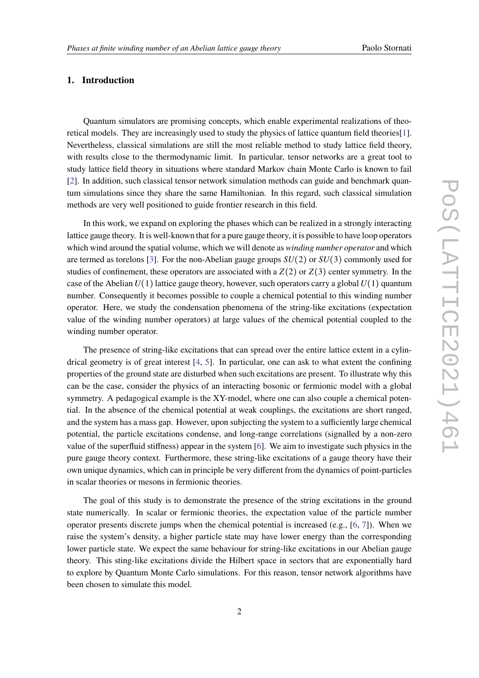# **1. Introduction**

Quantum simulators are promising concepts, which enable experimental realizations of theoretical models. They are increasingly used to study the physics of lattice quantum field theories[\[1\]](#page-6-0). Nevertheless, classical simulations are still the most reliable method to study lattice field theory, with results close to the thermodynamic limit. In particular, tensor networks are a great tool to study lattice field theory in situations where standard Markov chain Monte Carlo is known to fail [\[2\]](#page-6-1). In addition, such classical tensor network simulation methods can guide and benchmark quantum simulations since they share the same Hamiltonian. In this regard, such classical simulation methods are very well positioned to guide frontier research in this field.

In this work, we expand on exploring the phases which can be realized in a strongly interacting lattice gauge theory. It is well-known that for a pure gauge theory, it is possible to have loop operators which wind around the spatial volume, which we will denote as *winding number operator* and which are termed as torelons [\[3\]](#page-6-2). For the non-Abelian gauge groups  $SU(2)$  or  $SU(3)$  commonly used for studies of confinement, these operators are associated with a  $Z(2)$  or  $Z(3)$  center symmetry. In the case of the Abelian  $U(1)$  lattice gauge theory, however, such operators carry a global  $U(1)$  quantum number. Consequently it becomes possible to couple a chemical potential to this winding number operator. Here, we study the condensation phenomena of the string-like excitations (expectation value of the winding number operators) at large values of the chemical potential coupled to the winding number operator.

The presence of string-like excitations that can spread over the entire lattice extent in a cylindrical geometry is of great interest  $[4, 5]$  $[4, 5]$  $[4, 5]$ . In particular, one can ask to what extent the confining properties of the ground state are disturbed when such excitations are present. To illustrate why this can be the case, consider the physics of an interacting bosonic or fermionic model with a global symmetry. A pedagogical example is the XY-model, where one can also couple a chemical potential. In the absence of the chemical potential at weak couplings, the excitations are short ranged, and the system has a mass gap. However, upon subjecting the system to a sufficiently large chemical potential, the particle excitations condense, and long-range correlations (signalled by a non-zero value of the superfluid stiffness) appear in the system [\[6\]](#page-6-5). We aim to investigate such physics in the pure gauge theory context. Furthermore, these string-like excitations of a gauge theory have their own unique dynamics, which can in principle be very different from the dynamics of point-particles in scalar theories or mesons in fermionic theories.

The goal of this study is to demonstrate the presence of the string excitations in the ground state numerically. In scalar or fermionic theories, the expectation value of the particle number operator presents discrete jumps when the chemical potential is increased (e.g., [\[6,](#page-6-5) [7\]](#page-6-6)). When we raise the system's density, a higher particle state may have lower energy than the corresponding lower particle state. We expect the same behaviour for string-like excitations in our Abelian gauge theory. This sting-like excitations divide the Hilbert space in sectors that are exponentially hard to explore by Quantum Monte Carlo simulations. For this reason, tensor network algorithms have been chosen to simulate this model.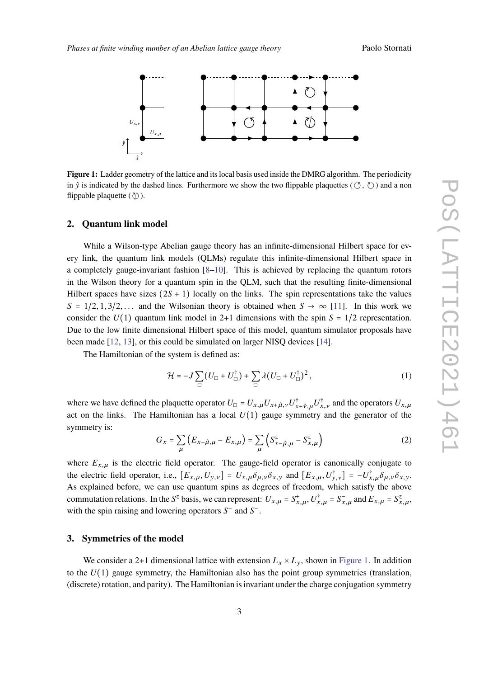<span id="page-2-0"></span>

**Figure 1:** Ladder geometry of the lattice and its local basis used inside the DMRG algorithm. The periodicity in  $\hat{y}$  is indicated by the dashed lines. Furthermore we show the two flippable plaquettes ( $(\hat{y}, \hat{y})$ ) and a non flippable plaquette  $(\langle \rangle)$ .

# **2. Quantum link model**

While a Wilson-type Abelian gauge theory has an infinite-dimensional Hilbert space for every link, the quantum link models (QLMs) regulate this infinite-dimensional Hilbert space in a completely gauge-invariant fashion [\[8](#page-6-7)[–10\]](#page-6-8). This is achieved by replacing the quantum rotors in the Wilson theory for a quantum spin in the QLM, such that the resulting finite-dimensional Hilbert spaces have sizes  $(2S + 1)$  locally on the links. The spin representations take the values  $S = 1/2, 1, 3/2, \ldots$  and the Wilsonian theory is obtained when  $S \rightarrow \infty$  [\[11\]](#page-6-9). In this work we consider the  $U(1)$  quantum link model in 2+1 dimensions with the spin  $S = 1/2$  representation. Due to the low finite dimensional Hilbert space of this model, quantum simulator proposals have been made [\[12,](#page-7-0) [13\]](#page-7-1), or this could be simulated on larger NISQ devices [\[14\]](#page-7-2).

The Hamiltonian of the system is defined as:

$$
\mathcal{H} = -J\sum_{\square} \left( U_{\square} + U_{\square}^{\dagger} \right) + \sum_{\square} \lambda \left( U_{\square} + U_{\square}^{\dagger} \right)^2, \tag{1}
$$

where we have defined the plaquette operator  $U_{\square} = U_{x,\mu} U_{x+\hat{\mu},\nu} U_{x+\hat{\nu},\mu}^{\dagger} U_{x,\nu}^{\dagger}$  and the operators  $U_{x,\mu}$ act on the links. The Hamiltonian has a local  $U(1)$  gauge symmetry and the generator of the symmetry is:

$$
G_x = \sum_{\mu} \left( E_{x-\hat{\mu},\mu} - E_{x,\mu} \right) = \sum_{\mu} \left( S_{x-\hat{\mu},\mu}^z - S_{x,\mu}^z \right)
$$
 (2)

where  $E_{x,\mu}$  is the electric field operator. The gauge-field operator is canonically conjugate to the electric field operator, i.e.,  $[E_{x,\mu}, U_{y,\nu}] = U_{x,\mu} \delta_{\mu,\nu} \delta_{x,y}$  and  $[E_{x,\mu}, U_{y,\nu}^{\dagger}] = -U_{x,\mu}^{\dagger} \delta_{\mu,\nu} \delta_{x,y}$ . As explained before, we can use quantum spins as degrees of freedom, which satisfy the above commutation relations. In the S<sup>z</sup> basis, we can represent:  $U_{x,\mu} = S_{x,\mu}^+$ ,  $U_{x,\mu}^{\dagger} = S_{x,\mu}^-$  and  $E_{x,\mu} = S_{x,\mu}^z$ . with the spin raising and lowering operators  $S^+$  and  $S^-$ .

#### **3. Symmetries of the model**

We consider a 2+1 dimensional lattice with extension  $L_x \times L_y$ , shown in [Figure 1.](#page-2-0) In addition to the  $U(1)$  gauge symmetry, the Hamiltonian also has the point group symmetries (translation, (discrete) rotation, and parity). The Hamiltonian is invariant under the charge conjugation symmetry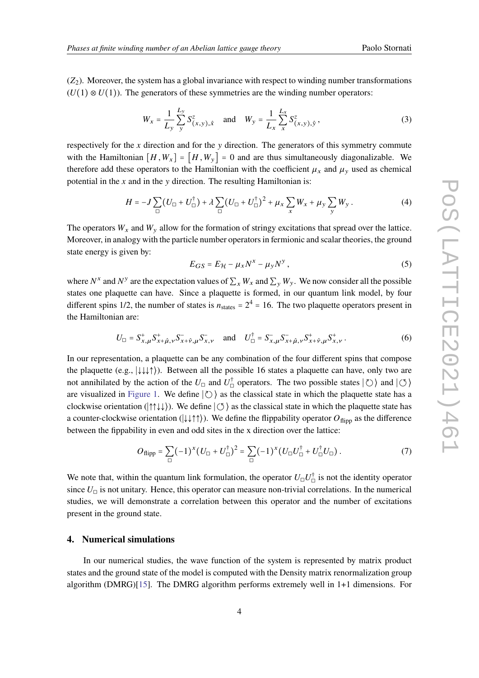$(Z_2)$ . Moreover, the system has a global invariance with respect to winding number transformations  $(U(1) \otimes U(1))$ . The generators of these symmetries are the winding number operators:

$$
W_x = \frac{1}{L_y} \sum_{y}^{L_y} S_{(x,y),\hat{x}}^z \quad \text{and} \quad W_y = \frac{1}{L_x} \sum_{x}^{L_x} S_{(x,y),\hat{y}}^z,
$$
 (3)

respectively for the  $x$  direction and for the  $y$  direction. The generators of this symmetry commute with the Hamiltonian  $[H, W_x] = [H, W_y] = 0$  and are thus simultaneously diagonalizable. We therefore add these operators to the Hamiltonian with the coefficient  $\mu_x$  and  $\mu_y$  used as chemical potential in the  $x$  and in the  $y$  direction. The resulting Hamiltonian is:

$$
H = -J\sum_{\square} (U_{\square} + U_{\square}^{\dagger}) + \lambda \sum_{\square} (U_{\square} + U_{\square}^{\dagger})^2 + \mu_x \sum_x W_x + \mu_y \sum_y W_y.
$$
 (4)

The operators  $W_x$  and  $W_y$  allow for the formation of stringy excitations that spread over the lattice. Moreover, in analogy with the particle number operators in fermionic and scalar theories, the ground state energy is given by:

$$
E_{GS} = E_{\mathcal{H}} - \mu_x N^x - \mu_y N^y, \qquad (5)
$$

where  $N^x$  and  $N^y$  are the expectation values of  $\sum_x W_x$  and  $\sum_y W_y$ . We now consider all the possible states one plaquette can have. Since a plaquette is formed, in our quantum link model, by four different spins 1/2, the number of states is  $n_{\text{states}} = 2^4 = 16$ . The two plaquette operators present in the Hamiltonian are:

$$
U_{\Box} = S_{x,\mu}^{+} S_{x+\hat{\mu},\nu}^{+} S_{x+\hat{\nu},\mu}^{-} S_{x,\nu}^{-} \quad \text{and} \quad U_{\Box}^{\dagger} = S_{x,\mu}^{-} S_{x+\hat{\mu},\nu}^{-} S_{x+\hat{\nu},\mu}^{+} S_{x,\nu}^{+} \,. \tag{6}
$$

In our representation, a plaquette can be any combination of the four different spins that compose the plaquette (e.g., ∣↓↓↓↑⟩). Between all the possible 16 states a plaquette can have, only two are not annihilated by the action of the  $U_{\Box}$  and  $U_{\Box}^{\dagger}$  operators. The two possible states  $|\circlearrowright\rangle$  and  $|\circlearrowleft\rangle$ are visualized in [Figure 1.](#page-2-0) We define  $|\circlearrowright\rangle$  as the classical state in which the plaquette state has a clockwise orientation (∣↑↑↓↓⟩). We define ∣↺⟩ as the classical state in which the plaquette state has a counter-clockwise orientation ( $|\downarrow \downarrow \uparrow \uparrow \rangle$ ). We define the flippability operator  $O_{\text{flip}}$  as the difference between the fippability in even and odd sites in the x direction over the lattice:

<span id="page-3-0"></span>
$$
O_{\text{flipp}} = \sum_{\Box} (-1)^{x} (U_{\Box} + U_{\Box}^{\dagger})^{2} = \sum_{\Box} (-1)^{x} (U_{\Box} U_{\Box}^{\dagger} + U_{\Box}^{\dagger} U_{\Box}). \tag{7}
$$

We note that, within the quantum link formulation, the operator  $U_{\square}U_{\square}^{\dagger}$  is not the identity operator since  $U_{\square}$  is not unitary. Hence, this operator can measure non-trivial correlations. In the numerical studies, we will demonstrate a correlation between this operator and the number of excitations present in the ground state.

### **4. Numerical simulations**

In our numerical studies, the wave function of the system is represented by matrix product states and the ground state of the model is computed with the Density matrix renormalization group algorithm (DMRG)[\[15\]](#page-7-3). The DMRG algorithm performs extremely well in 1+1 dimensions. For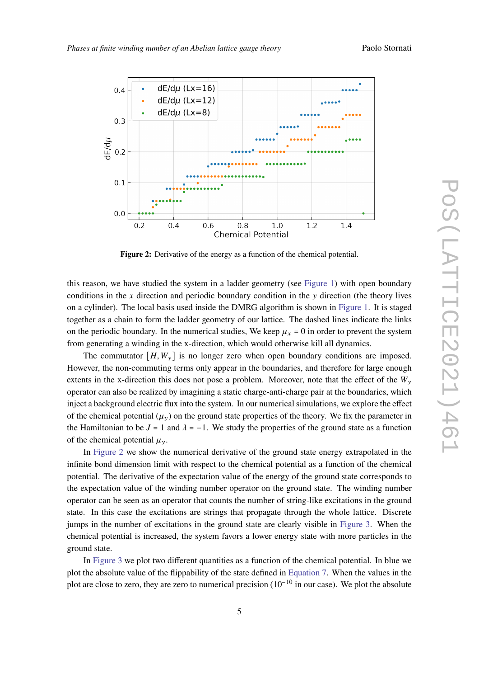<span id="page-4-0"></span>

**Figure 2:** Derivative of the energy as a function of the chemical potential.

this reason, we have studied the system in a ladder geometry (see [Figure 1\)](#page-2-0) with open boundary conditions in the x direction and periodic boundary condition in the  $\nu$  direction (the theory lives on a cylinder). The local basis used inside the DMRG algorithm is shown in [Figure 1.](#page-2-0) It is staged together as a chain to form the ladder geometry of our lattice. The dashed lines indicate the links on the periodic boundary. In the numerical studies, We keep  $\mu_x = 0$  in order to prevent the system from generating a winding in the x-direction, which would otherwise kill all dynamics.

The commutator  $[H, W_{v}]$  is no longer zero when open boundary conditions are imposed. However, the non-commuting terms only appear in the boundaries, and therefore for large enough extents in the x-direction this does not pose a problem. Moreover, note that the effect of the  $W_v$ operator can also be realized by imagining a static charge-anti-charge pair at the boundaries, which inject a background electric flux into the system. In our numerical simulations, we explore the effect of the chemical potential  $(\mu_{\nu})$  on the ground state properties of the theory. We fix the parameter in the Hamiltonian to be  $J = 1$  and  $\lambda = -1$ . We study the properties of the ground state as a function of the chemical potential  $\mu_{\nu}$ .

In [Figure 2](#page-4-0) we show the numerical derivative of the ground state energy extrapolated in the infinite bond dimension limit with respect to the chemical potential as a function of the chemical potential. The derivative of the expectation value of the energy of the ground state corresponds to the expectation value of the winding number operator on the ground state. The winding number operator can be seen as an operator that counts the number of string-like excitations in the ground state. In this case the excitations are strings that propagate through the whole lattice. Discrete jumps in the number of excitations in the ground state are clearly visible in [Figure 3.](#page-5-0) When the chemical potential is increased, the system favors a lower energy state with more particles in the ground state.

In [Figure 3](#page-5-0) we plot two different quantities as a function of the chemical potential. In blue we plot the absolute value of the flippability of the state defined in [Equation 7.](#page-3-0) When the values in the plot are close to zero, they are zero to numerical precision  $(10^{-10}$  in our case). We plot the absolute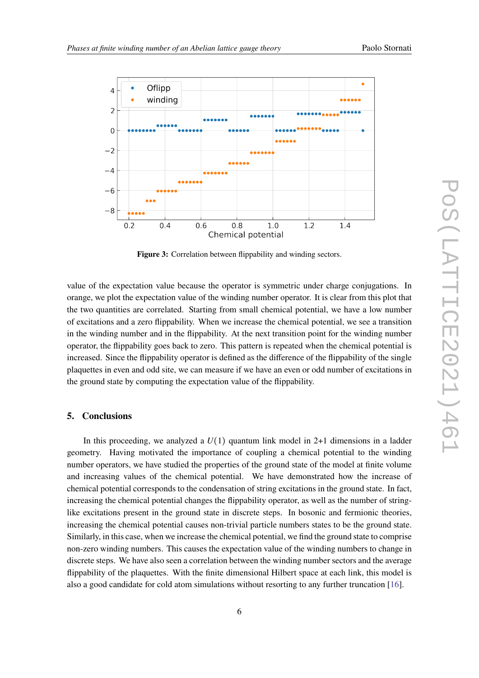<span id="page-5-0"></span>

**Figure 3:** Correlation between flippability and winding sectors.

value of the expectation value because the operator is symmetric under charge conjugations. In orange, we plot the expectation value of the winding number operator. It is clear from this plot that the two quantities are correlated. Starting from small chemical potential, we have a low number of excitations and a zero flippability. When we increase the chemical potential, we see a transition in the winding number and in the flippability. At the next transition point for the winding number operator, the flippability goes back to zero. This pattern is repeated when the chemical potential is increased. Since the flippability operator is defined as the difference of the flippability of the single plaquettes in even and odd site, we can measure if we have an even or odd number of excitations in the ground state by computing the expectation value of the flippability.

# **5. Conclusions**

In this proceeding, we analyzed a  $U(1)$  quantum link model in 2+1 dimensions in a ladder geometry. Having motivated the importance of coupling a chemical potential to the winding number operators, we have studied the properties of the ground state of the model at finite volume and increasing values of the chemical potential. We have demonstrated how the increase of chemical potential corresponds to the condensation of string excitations in the ground state. In fact, increasing the chemical potential changes the flippability operator, as well as the number of stringlike excitations present in the ground state in discrete steps. In bosonic and fermionic theories, increasing the chemical potential causes non-trivial particle numbers states to be the ground state. Similarly, in this case, when we increase the chemical potential, we find the ground state to comprise non-zero winding numbers. This causes the expectation value of the winding numbers to change in discrete steps. We have also seen a correlation between the winding number sectors and the average flippability of the plaquettes. With the finite dimensional Hilbert space at each link, this model is also a good candidate for cold atom simulations without resorting to any further truncation [\[16\]](#page-7-4).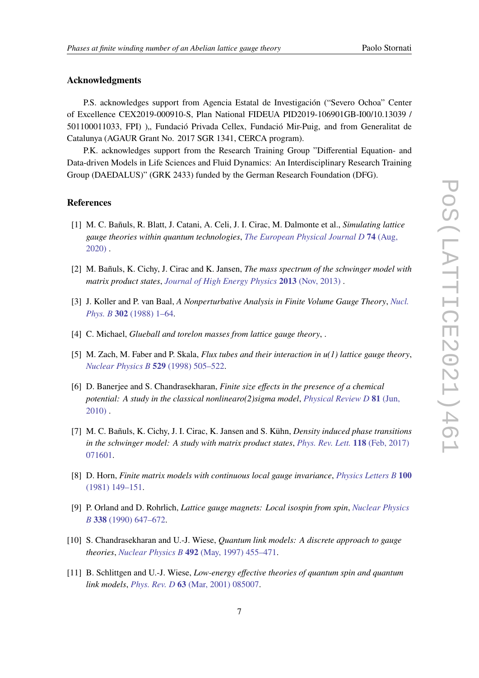# **Acknowledgments**

P.S. acknowledges support from Agencia Estatal de Investigación ("Severo Ochoa" Center of Excellence CEX2019-000910-S, Plan National FIDEUA PID2019-106901GB-I00/10.13039 / 501100011033, FPI) ), Fundació Privada Cellex, Fundació Mir-Puig, and from Generalitat de Catalunya (AGAUR Grant No. 2017 SGR 1341, CERCA program).

P.K. acknowledges support from the Research Training Group "Differential Equation- and Data-driven Models in Life Sciences and Fluid Dynamics: An Interdisciplinary Research Training Group (DAEDALUS)" (GRK 2433) funded by the German Research Foundation (DFG).

#### **References**

- <span id="page-6-0"></span>[1] M. C. Bañuls, R. Blatt, J. Catani, A. Celi, J. I. Cirac, M. Dalmonte et al., *Simulating lattice gauge theories within quantum technologies*, *[The European Physical Journal D](http://dx.doi.org/10.1140/epjd/e2020-100571-8)* **74** (Aug, [2020\)](http://dx.doi.org/10.1140/epjd/e2020-100571-8) .
- <span id="page-6-1"></span>[2] M. Bañuls, K. Cichy, J. Cirac and K. Jansen, *The mass spectrum of the schwinger model with matrix product states*, *[Journal of High Energy Physics](http://dx.doi.org/10.1007/jhep11(2013)158)* **2013** (Nov, 2013) .
- <span id="page-6-2"></span>[3] J. Koller and P. van Baal, *A Nonperturbative Analysis in Finite Volume Gauge Theory*, *[Nucl.](http://dx.doi.org/10.1016/0550-3213(88)90665-7) Phys. B* **302** [\(1988\) 1–64.](http://dx.doi.org/10.1016/0550-3213(88)90665-7)
- <span id="page-6-3"></span>[4] C. Michael, *Glueball and torelon masses from lattice gauge theory*, .
- <span id="page-6-4"></span>[5] M. Zach, M. Faber and P. Skala, *Flux tubes and their interaction in u(1) lattice gauge theory*, *[Nuclear Physics B](http://dx.doi.org/https://doi.org/10.1016/S0550-3213(98)00363-0)* **529** (1998) 505–522.
- <span id="page-6-5"></span>[6] D. Banerjee and S. Chandrasekharan, *Finite size effects in the presence of a chemical potential: A study in the classical nonlinearo(2)sigma model*, *[Physical Review D](http://dx.doi.org/10.1103/physrevd.81.125007)* **81** (Jun, [2010\)](http://dx.doi.org/10.1103/physrevd.81.125007) .
- <span id="page-6-6"></span>[7] M. C. Bañuls, K. Cichy, J. I. Cirac, K. Jansen and S. Kühn, *Density induced phase transitions in the schwinger model: A study with matrix product states*, *[Phys. Rev. Lett.](http://dx.doi.org/10.1103/PhysRevLett.118.071601)* **118** (Feb, 2017) [071601.](http://dx.doi.org/10.1103/PhysRevLett.118.071601)
- <span id="page-6-7"></span>[8] D. Horn, *Finite matrix models with continuous local gauge invariance*, *[Physics Letters B](http://dx.doi.org/https://doi.org/10.1016/0370-2693(81)90763-2)* **100** [\(1981\) 149–151.](http://dx.doi.org/https://doi.org/10.1016/0370-2693(81)90763-2)
- [9] P. Orland and D. Rohrlich, *Lattice gauge magnets: Local isospin from spin*, *[Nuclear Physics](http://dx.doi.org/https://doi.org/10.1016/0550-3213(90)90646-U) B* **338** [\(1990\) 647–672.](http://dx.doi.org/https://doi.org/10.1016/0550-3213(90)90646-U)
- <span id="page-6-8"></span>[10] S. Chandrasekharan and U.-J. Wiese, *Quantum link models: A discrete approach to gauge theories*, *Nuclear Physics B* **492** [\(May, 1997\) 455–471.](http://dx.doi.org/10.1016/s0550-3213(97)80041-7)
- <span id="page-6-9"></span>[11] B. Schlittgen and U.-J. Wiese, *Low-energy effective theories of quantum spin and quantum link models*, *Phys. Rev. D* **63** [\(Mar, 2001\) 085007.](http://dx.doi.org/10.1103/PhysRevD.63.085007)